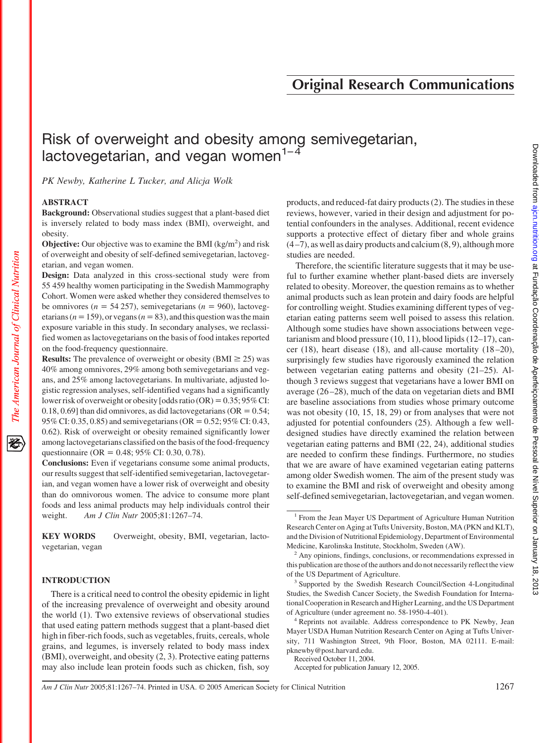# Risk of overweight and obesity among semivegetarian, lactovegetarian, and vegan women<sup>1-4</sup>

*PK Newby, Katherine L Tucker, and Alicja Wolk*

#### **ABSTRACT**

The American Journal of Clinical Nutrition

移

**Background:** Observational studies suggest that a plant-based diet is inversely related to body mass index (BMI), overweight, and obesity.

**Objective:** Our objective was to examine the BMI  $(kg/m<sup>2</sup>)$  and risk of overweight and obesity of self-defined semivegetarian, lactovegetarian, and vegan women.

**Design:** Data analyzed in this cross-sectional study were from 55 459 healthy women participating in the Swedish Mammography Cohort. Women were asked whether they considered themselves to be omnivores ( $n = 54\,257$ ), semivegetarians ( $n = 960$ ), lactovegetarians ( $n = 159$ ), or vegans ( $n = 83$ ), and this question was the main exposure variable in this study. In secondary analyses, we reclassified women as lactovegetarians on the basis of food intakes reported on the food-frequency questionnaire.

**Results:** The prevalence of overweight or obesity ( $BMI \geq 25$ ) was 40% among omnivores, 29% among both semivegetarians and vegans, and 25% among lactovegetarians. In multivariate, adjusted logistic regression analyses, self-identified vegans had a significantly lower risk of overweight or obesity [odds ratio  $(OR) = 0.35$ ; 95% CI: 0.18, 0.69] than did omnivores, as did lactovegetarians ( $OR = 0.54$ ; 95% CI: 0.35, 0.85) and semivegetarians (OR = 0.52; 95% CI: 0.43, 0.62). Risk of overweight or obesity remained significantly lower among lactovegetarians classified on the basis of the food-frequency questionnaire (OR =  $0.48$ ; 95% CI: 0.30, 0.78).

**Conclusions:** Even if vegetarians consume some animal products, our results suggest that self-identified semivegetarian, lactovegetarian, and vegan women have a lower risk of overweight and obesity than do omnivorous women. The advice to consume more plant foods and less animal products may help individuals control their weight. *Am J Clin Nutr* 2005;81:1267–74.

**KEY WORDS** Overweight, obesity, BMI, vegetarian, lactovegetarian, vegan

#### **INTRODUCTION**

There is a critical need to control the obesity epidemic in light of the increasing prevalence of overweight and obesity around the world (1). Two extensive reviews of observational studies that used eating pattern methods suggest that a plant-based diet high in fiber-rich foods, such as vegetables, fruits, cereals, whole grains, and legumes, is inversely related to body mass index (BMI), overweight, and obesity (2, 3). Protective eating patterns may also include lean protein foods such as chicken, fish, soy products, and reduced-fat dairy products (2). The studies in these reviews, however, varied in their design and adjustment for potential confounders in the analyses. Additional, recent evidence supports a protective effect of dietary fiber and whole grains  $(4-7)$ , as well as dairy products and calcium  $(8, 9)$ , although more studies are needed.

Therefore, the scientific literature suggests that it may be useful to further examine whether plant-based diets are inversely related to obesity. Moreover, the question remains as to whether animal products such as lean protein and dairy foods are helpful for controlling weight. Studies examining different types of vegetarian eating patterns seem well poised to assess this relation. Although some studies have shown associations between vegetarianism and blood pressure (10, 11), blood lipids (12–17), cancer (18), heart disease (18), and all-cause mortality  $(18-20)$ , surprisingly few studies have rigorously examined the relation between vegetarian eating patterns and obesity (21–25). Although 3 reviews suggest that vegetarians have a lower BMI on average (26 –28), much of the data on vegetarian diets and BMI are baseline associations from studies whose primary outcome was not obesity (10, 15, 18, 29) or from analyses that were not adjusted for potential confounders (25). Although a few welldesigned studies have directly examined the relation between vegetarian eating patterns and BMI (22, 24), additional studies are needed to confirm these findings. Furthermore, no studies that we are aware of have examined vegetarian eating patterns among older Swedish women. The aim of the present study was to examine the BMI and risk of overweight and obesity among self-defined semivegetarian, lactovegetarian, and vegan women.

*Am J Clin Nutr* 2005;81:1267–74. Printed in USA. © 2005 American Society for Clinical Nutrition 1267

<sup>1</sup> From the Jean Mayer US Department of Agriculture Human Nutrition Research Center on Aging at Tufts University, Boston, MA (PKN and KLT), and the Division of Nutritional Epidemiology, Department of Environmental Medicine, Karolinska Institute, Stockholm, Sweden (AW).

<sup>&</sup>lt;sup>2</sup> Any opinions, findings, conclusions, or recommendations expressed in this publication are those of the authors and do not necessarily reflect the view of the US Department of Agriculture.

<sup>3</sup> Supported by the Swedish Research Council/Section 4-Longitudinal Studies, the Swedish Cancer Society, the Swedish Foundation for International Cooperation in Research and Higher Learning, and the US Department of Agriculture (under agreement no. 58-1950-4-401).

<sup>4</sup> Reprints not available. Address correspondence to PK Newby, Jean Mayer USDA Human Nutrition Research Center on Aging at Tufts University, 711 Washington Street, 9th Floor, Boston, MA 02111. E-mail: pknewby@post.harvard.edu.

Received October 11, 2004.

Accepted for publication January 12, 2005.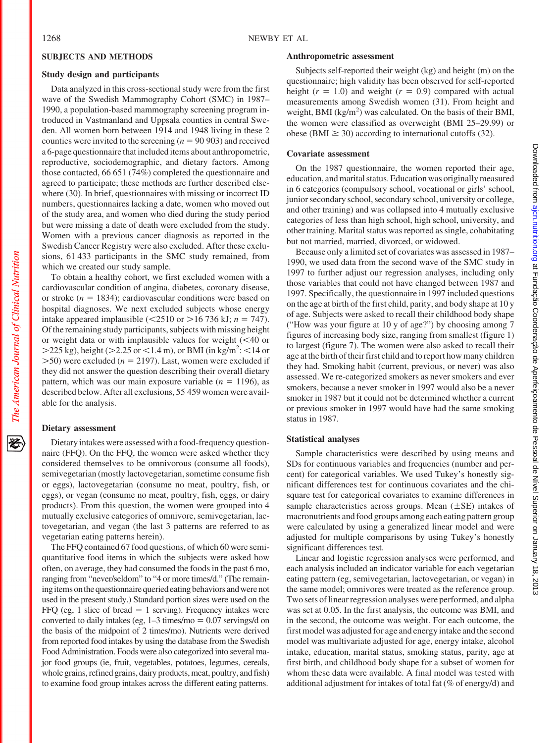### **SUBJECTS AND METHODS**

#### **Study design and participants**

Data analyzed in this cross-sectional study were from the first wave of the Swedish Mammography Cohort (SMC) in 1987– 1990, a population-based mammography screening program introduced in Vastmanland and Uppsala counties in central Sweden. All women born between 1914 and 1948 living in these 2 counties were invited to the screening  $(n = 90 903)$  and received a 6-page questionnaire that included items about anthropometric, reproductive, sociodemographic, and dietary factors. Among those contacted, 66 651 (74%) completed the questionnaire and agreed to participate; these methods are further described elsewhere (30). In brief, questionnaires with missing or incorrect ID numbers, questionnaires lacking a date, women who moved out of the study area, and women who died during the study period but were missing a date of death were excluded from the study. Women with a previous cancer diagnosis as reported in the Swedish Cancer Registry were also excluded. After these exclusions, 61 433 participants in the SMC study remained, from which we created our study sample.

To obtain a healthy cohort, we first excluded women with a cardiovascular condition of angina, diabetes, coronary disease, or stroke  $(n = 1834)$ ; cardiovascular conditions were based on hospital diagnoses. We next excluded subjects whose energy intake appeared implausible ( $\langle 2510 \text{ or } \rangle 16736 \text{ kJ}; n = 747$ ). Of the remaining study participants, subjects with missing height or weight data or with implausible values for weight  $(< 40$  or  $>$  225 kg), height ( $>$  2.25 or < 1.4 m), or BMI (in kg/m<sup>2</sup>: < 14 or  $>$ 50) were excluded ( $n = 2197$ ). Last, women were excluded if they did not answer the question describing their overall dietary pattern, which was our main exposure variable  $(n = 1196)$ , as described below. After all exclusions, 55 459 women were available for the analysis.

#### **Dietary assessment**

The American Journal of Clinical Nutrition

Dietary intakes were assessed with a food-frequency questionnaire (FFQ). On the FFQ, the women were asked whether they considered themselves to be omnivorous (consume all foods), semivegetarian (mostly lactovegetarian, sometime consume fish or eggs), lactovegetarian (consume no meat, poultry, fish, or eggs), or vegan (consume no meat, poultry, fish, eggs, or dairy products). From this question, the women were grouped into 4 mutually exclusive categories of omnivore, semivegetarian, lactovegetarian, and vegan (the last 3 patterns are referred to as vegetarian eating patterns herein).

The FFQ contained 67 food questions, of which 60 were semiquantitative food items in which the subjects were asked how often, on average, they had consumed the foods in the past 6 mo, ranging from "never/seldom" to "4 or more times/d." (The remaining items on the questionnaire queried eating behaviors and were not used in the present study.) Standard portion sizes were used on the FFQ (eg, 1 slice of bread  $= 1$  serving). Frequency intakes were converted to daily intakes (eg,  $1-3$  times/mo = 0.07 servings/d on the basis of the midpoint of 2 times/mo). Nutrients were derived from reported food intakes by using the database from the Swedish Food Administration. Foods were also categorized into several major food groups (ie, fruit, vegetables, potatoes, legumes, cereals, whole grains, refined grains, dairy products, meat, poultry, and fish) to examine food group intakes across the different eating patterns.

#### **Anthropometric assessment**

Subjects self-reported their weight (kg) and height (m) on the questionnaire; high validity has been observed for self-reported height  $(r = 1.0)$  and weight  $(r = 0.9)$  compared with actual measurements among Swedish women (31). From height and weight, BMI (kg/m<sup>2</sup>) was calculated. On the basis of their BMI, the women were classified as overweight (BMI 25–29.99) or obese (BMI  $\geq$  30) according to international cutoffs (32).

#### **Covariate assessment**

On the 1987 questionnaire, the women reported their age, education, and marital status. Education was originally measured in 6 categories (compulsory school, vocational or girls' school, junior secondary school, secondary school, university or college, and other training) and was collapsed into 4 mutually exclusive categories of less than high school, high school, university, and other training. Marital status was reported as single, cohabitating but not married, married, divorced, or widowed.

Because only a limited set of covariates was assessed in 1987– 1990, we used data from the second wave of the SMC study in 1997 to further adjust our regression analyses, including only those variables that could not have changed between 1987 and 1997. Specifically, the questionnaire in 1997 included questions on the age at birth of the first child, parity, and body shape at 10 y of age. Subjects were asked to recall their childhood body shape ("How was your figure at 10 y of age?") by choosing among 7 figures of increasing body size, ranging from smallest (figure 1) to largest (figure 7). The women were also asked to recall their age at the birth of their first child and to report how many children they had. Smoking habit (current, previous, or never) was also assessed. We re-categorized smokers as never smokers and ever smokers, because a never smoker in 1997 would also be a never smoker in 1987 but it could not be determined whether a current or previous smoker in 1997 would have had the same smoking status in 1987.

#### **Statistical analyses**

Sample characteristics were described by using means and SDs for continuous variables and frequencies (number and percent) for categorical variables. We used Tukey's honestly significant differences test for continuous covariates and the chisquare test for categorical covariates to examine differences in sample characteristics across groups. Mean  $(\pm SE)$  intakes of macronutrients and food groups among each eating pattern group were calculated by using a generalized linear model and were adjusted for multiple comparisons by using Tukey's honestly significant differences test.

Linear and logistic regression analyses were performed, and each analysis included an indicator variable for each vegetarian eating pattern (eg, semivegetarian, lactovegetarian, or vegan) in the same model; omnivores were treated as the reference group. Two sets of linear regression analyses were performed, and alpha was set at 0.05. In the first analysis, the outcome was BMI, and in the second, the outcome was weight. For each outcome, the first model was adjusted for age and energy intake and the second model was multivariate adjusted for age, energy intake, alcohol intake, education, marital status, smoking status, parity, age at first birth, and childhood body shape for a subset of women for whom these data were available. A final model was tested with additional adjustment for intakes of total fat (% of energy/d) and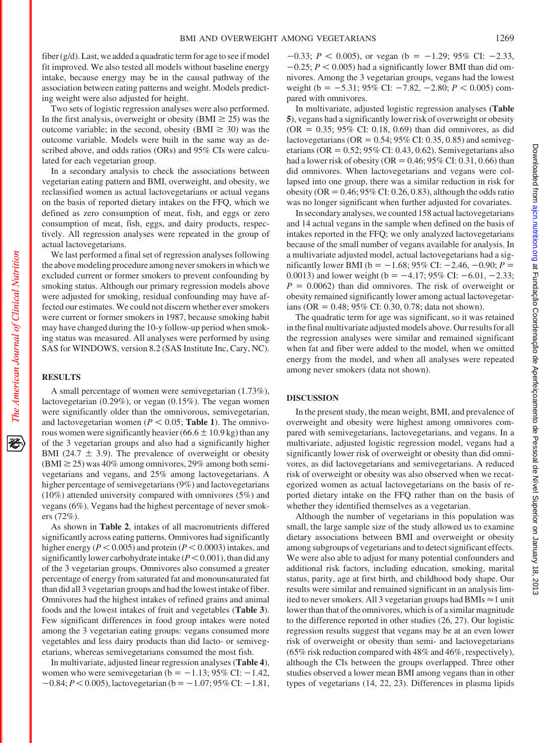fiber (g/d). Last, we added a quadratic term for age to see if model fit improved. We also tested all models without baseline energy intake, because energy may be in the causal pathway of the association between eating patterns and weight. Models predicting weight were also adjusted for height.

Two sets of logistic regression analyses were also performed. In the first analysis, overweight or obesity ( $\text{BMI} \geq 25$ ) was the outcome variable; in the second, obesity ( $\text{BMI} \geq 30$ ) was the outcome variable. Models were built in the same way as described above, and odds ratios (ORs) and 95% CIs were calculated for each vegetarian group.

In a secondary analysis to check the associations between vegetarian eating pattern and BMI, overweight, and obesity, we reclassified women as actual lactovegetarians or actual vegans on the basis of reported dietary intakes on the FFQ, which we defined as zero consumption of meat, fish, and eggs or zero consumption of meat, fish, eggs, and dairy products, respectively. All regression analyses were repeated in the group of actual lactovegetarians.

We last performed a final set of regression analyses following the above modeling procedure among never smokersin which we excluded current or former smokers to prevent confounding by smoking status. Although our primary regression models above were adjusted for smoking, residual confounding may have affected our estimates. We could not discern whether ever smokers were current or former smokers in 1987, because smoking habit may have changed during the 10-y follow-up period when smoking status was measured. All analyses were performed by using SAS for WINDOWS, version 8.2 (SAS Institute Inc, Cary, NC).

#### **RESULTS**

The American Journal of Clinical Nutrition

移

A small percentage of women were semivegetarian (1.73%), lactovegetarian (0.29%), or vegan (0.15%). The vegan women were significantly older than the omnivorous, semivegetarian, and lactovegetarian women ( $P < 0.05$ ; Table 1). The omnivorous women were significantly heavier (66.6  $\pm$  10.9 kg) than any of the 3 vegetarian groups and also had a significantly higher BMI (24.7  $\pm$  3.9). The prevalence of overweight or obesity  $(BMI \ge 25)$  was 40% among omnivores, 29% among both semivegetarians and vegans, and 25% among lactovegetarians. A higher percentage of semivegetarians (9%) and lactovegetarians (10%) attended university compared with omnivores (5%) and vegans (6%). Vegans had the highest percentage of never smokers (72%).

As shown in **Table 2**, intakes of all macronutrients differed significantly across eating patterns. Omnivores had significantly higher energy ( $P < 0.005$ ) and protein ( $P < 0.0003$ ) intakes, and significantly lower carbohydrate intake  $(P < 0.001)$ , than did any of the 3 vegetarian groups. Omnivores also consumed a greater percentage of energy from saturated fat and monounsaturated fat than did all 3 vegetarian groups and had the lowest intake of fiber. Omnivores had the highest intakes of refined grains and animal foods and the lowest intakes of fruit and vegetables (**Table 3**). Few significant differences in food group intakes were noted among the 3 vegetarian eating groups: vegans consumed more vegetables and less dairy products than did lacto- or semivegetarians, whereas semivegetarians consumed the most fish.

In multivariate, adjusted linear regression analyses (**Table 4**), women who were semivegetarian ( $b = -1.13$ ; 95% CI:  $-1.42$ ,  $-0.84; P < 0.005$ ), lactovegetarian (b =  $-1.07; 95\%$  CI:  $-1.81$ ,

 $-0.33$ ;  $P < 0.005$ ), or vegan (b =  $-1.29$ ; 95% CI:  $-2.33$ ,  $-0.25$ ;  $P < 0.005$ ) had a significantly lower BMI than did omnivores. Among the 3 vegetarian groups, vegans had the lowest weight ( $b = -5.31$ ; 95% CI:  $-7.82$ ,  $-2.80$ ;  $P < 0.005$ ) compared with omnivores.

In multivariate, adjusted logistic regression analyses **(Table 5**), vegans had a significantly lower risk of overweight or obesity  $(OR = 0.35; 95\% \text{ CI: } 0.18, 0.69)$  than did omnivores, as did lactovegetarians ( $OR = 0.54$ ; 95% CI: 0.35, 0.85) and semivegetarians (OR =  $0.52$ ; 95% CI: 0.43, 0.62). Semivegetarians also had a lower risk of obesity (OR =  $0.46$ ; 95% CI: 0.31, 0.66) than did omnivores. When lactovegetarians and vegans were collapsed into one group, there was a similar reduction in risk for obesity (OR =  $0.46$ ; 95% CI: 0.26, 0.83), although the odds ratio was no longer significant when further adjusted for covariates.

In secondary analyses, we counted 158 actual lactovegetarians and 14 actual vegans in the sample when defined on the basis of intakes reported in the FFQ; we only analyzed lactovegetarians because of the small number of vegans available for analysis. In a multivariate adjusted model, actual lactovegetarians had a significantly lower BMI ( $b = -1.68$ ; 95% CI:  $-2.46$ ,  $-0.90$ ;  $P =$ 0.0013) and lower weight ( $b = -4.17$ ; 95% CI: -6.01, -2.33;  $P = 0.0062$ ) than did omnivores. The risk of overweight or obesity remained significantly lower among actual lactovegetarians (OR =  $0.48$ ; 95% CI: 0.30, 0.78; data not shown).

The quadratic term for age was significant, so it was retained in the final multivariate adjusted models above. Our results for all the regression analyses were similar and remained significant when fat and fiber were added to the model, when we omitted energy from the model, and when all analyses were repeated among never smokers (data not shown).

#### **DISCUSSION**

In the present study, the mean weight, BMI, and prevalence of overweight and obesity were highest among omnivores compared with semivegetarians, lactovegetarians, and vegans. In a multivariate, adjusted logistic regression model, vegans had a significantly lower risk of overweight or obesity than did omnivores, as did lactovegetarians and semivegetarians. A reduced risk of overweight or obesity was also observed when we recategorized women as actual lactovegetarians on the basis of reported dietary intake on the FFQ rather than on the basis of whether they identified themselves as a vegetarian.

Although the number of vegetarians in this population was small, the large sample size of the study allowed us to examine dietary associations between BMI and overweight or obesity among subgroups of vegetarians and to detect significant effects. We were also able to adjust for many potential confounders and additional risk factors, including education, smoking, marital status, parity, age at first birth, and childhood body shape. Our results were similar and remained significant in an analysis limited to never smokers. All 3 vegetarian groups had BMIs  $\approx$  1 unit lower than that of the omnivores, which is of a similar magnitude to the difference reported in other studies (26, 27). Our logistic regression results suggest that vegans may be at an even lower risk of overweight or obesity than semi- and lactovegetarians (65% risk reduction compared with 48% and 46%, respectively), although the CIs between the groups overlapped. Three other studies observed a lower mean BMI among vegans than in other types of vegetarians (14, 22, 23). Differences in plasma lipids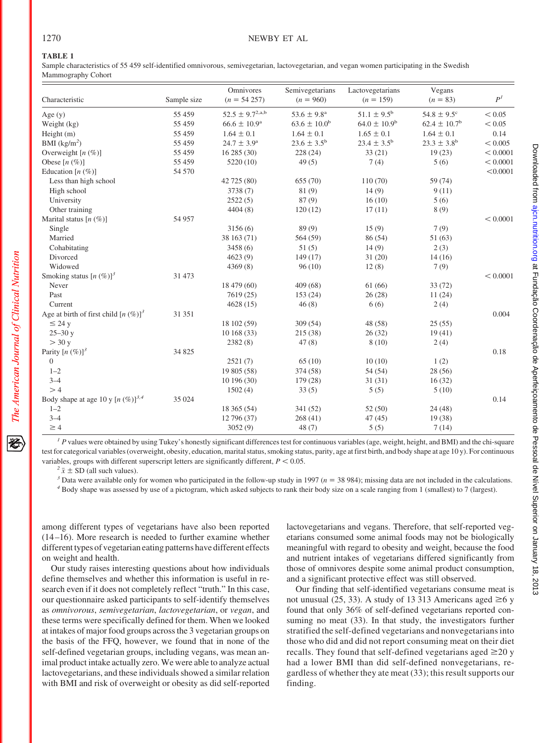The American Journal of Clinical Nutrition

移

#### **TABLE 1**

Sample characteristics of 55 459 self-identified omnivorous, semivegetarian, lactovegetarian, and vegan women participating in the Swedish Mammography Cohort

|                                                     |             | Omnivores               | Semivegetarians        | Lactovegetarians        | Vegans                       |                |
|-----------------------------------------------------|-------------|-------------------------|------------------------|-------------------------|------------------------------|----------------|
| Characteristic                                      | Sample size | $(n = 54257)$           | $(n = 960)$            | $(n = 159)$             | $(n = 83)$                   | P <sup>I</sup> |
| Age $(y)$                                           | 55 459      | $52.5 \pm 9.7^{2,a,b}$  | $53.6 \pm 9.8^{\rm a}$ | $51.1 \pm 9.5^{\rm b}$  | $54.8 \pm 9.5^{\circ}$       | < 0.05         |
| Weight (kg)                                         | 55 459      | $66.6 \pm 10.9^{\rm a}$ | $63.6 \pm 10.0^b$      | $64.0 \pm 10.9^{\rm b}$ | $62.4 \pm 10.7$ <sup>b</sup> | < 0.05         |
| Height $(m)$                                        | 55 459      | $1.64 \pm 0.1$          | $1.64 \pm 0.1$         | $1.65 \pm 0.1$          | $1.64 \pm 0.1$               | 0.14           |
| BMI $(kg/m2)$                                       | 55 459      | $24.7 \pm 3.9^{\rm a}$  | $23.6 \pm 3.5^{\rm b}$ | $23.4 \pm 3.5^{\rm b}$  | $23.3 \pm 3.8^{\rm b}$       | < 0.005        |
| Overweight $[n (\%)]$                               | 55 459      | 16285(30)               | 228(24)                | 33(21)                  | 19(23)                       | < 0.0001       |
| Obese $[n \, (\%)]$                                 | 55 459      | 5220(10)                | 49(5)                  | 7(4)                    | 5(6)                         | < 0.0001       |
| Education $[n (%)]$                                 | 54 570      |                         |                        |                         |                              | < 0.0001       |
| Less than high school                               |             | 42 725 (80)             | 655 (70)               | 110(70)                 | 59 (74)                      |                |
| High school                                         |             | 3738 (7)                | 81 (9)                 | 14(9)                   | 9(11)                        |                |
| University                                          |             | 2522(5)                 | 87(9)                  | 16(10)                  | 5(6)                         |                |
| Other training                                      |             | 4404(8)                 | 120(12)                | 17(11)                  | 8(9)                         |                |
| Marital status $[n (\%)]$                           | 54 957      |                         |                        |                         |                              | < 0.0001       |
| Single                                              |             | 3156(6)                 | 89(9)                  | 15(9)                   | 7(9)                         |                |
| Married                                             |             | 38 163 (71)             | 564 (59)               | 86 (54)                 | 51(63)                       |                |
| Cohabitating                                        |             | 3458(6)                 | 51(5)                  | 14(9)                   | 2(3)                         |                |
| Divorced                                            |             | 4623(9)                 | 149(17)                | 31(20)                  | 14(16)                       |                |
| Widowed                                             |             | 4369(8)                 | 96(10)                 | 12(8)                   | 7(9)                         |                |
| Smoking status $[n (\%)]^3$                         | 31 473      |                         |                        |                         |                              | < 0.0001       |
| Never                                               |             | 18 479 (60)             | 409(68)                | 61 (66)                 | 33(72)                       |                |
| Past                                                |             | 7619(25)                | 153 (24)               | 26(28)                  | 11(24)                       |                |
| Current                                             |             | 4628(15)                | 46(8)                  | 6(6)                    | 2(4)                         |                |
| Age at birth of first child $[n (\%)]$ <sup>3</sup> | 31 351      |                         |                        |                         |                              | 0.004          |
| $\leq$ 24 y                                         |             | 18 102 (59)             | 309(54)                | 48 (58)                 | 25(55)                       |                |
| $25 - 30y$                                          |             | 10168(33)               | 215 (38)               | 26(32)                  | 19(41)                       |                |
| $>$ 30 y                                            |             | 2382(8)                 | 47(8)                  | 8(10)                   | 2(4)                         |                |
| Parity $[n \ (\%)]^3$                               | 34 825      |                         |                        |                         |                              | 0.18           |
| $\overline{0}$                                      |             | 2521(7)                 | 65(10)                 | 10(10)                  | 1(2)                         |                |
| $1 - 2$                                             |             | 19 805 (58)             | 374 (58)               | 54 (54)                 | 28(56)                       |                |
| $3 - 4$                                             |             | 10 196 (30)             | 179 (28)               | 31(31)                  | 16(32)                       |                |
| >4                                                  |             | 1502(4)                 | 33(5)                  | 5(5)                    | 5(10)                        |                |
| Body shape at age 10 y $[n (%)]^{3,4}$              | 35 024      |                         |                        |                         |                              | 0.14           |
| $1 - 2$                                             |             | 18 365 (54)             | 341 (52)               | 52(50)                  | 24(48)                       |                |
| $3 - 4$                                             |             | 12 796 (37)             | 268(41)                | 47(45)                  | 19(38)                       |                |
| $\geq 4$                                            |             | 3052(9)                 | 48(7)                  | 5(5)                    | 7(14)                        |                |

*<sup>1</sup> P* values were obtained by using Tukey's honestly significant differences test for continuous variables (age, weight, height, and BMI) and the chi-square test for categorical variables (overweight, obesity, education, marital status, smoking status, parity, age at first birth, and body shape at age 10 y). For continuous variables, groups with different superscript letters are significantly different,  $P < 0.05$ .<br><sup>2</sup> $\bar{x} \pm$  SD (all such values).

<sup>3</sup> Data were available only for women who participated in the follow-up study in 1997 ( $n = 38984$ ); missing data are not included in the calculations.

*<sup>4</sup>* Body shape was assessed by use of a pictogram, which asked subjects to rank their body size on a scale ranging from 1 (smallest) to 7 (largest).

among different types of vegetarians have also been reported (14 –16). More research is needed to further examine whether different types of vegetarian eating patterns have different effects on weight and health.

Our study raises interesting questions about how individuals define themselves and whether this information is useful in research even if it does not completely reflect "truth." In this case, our questionnaire asked participants to self-identify themselves as *omnivorous*, *semivegetarian*, *lactovegetarian*, or *vegan*, and these terms were specifically defined for them. When we looked at intakes of major food groups across the 3 vegetarian groups on the basis of the FFQ, however, we found that in none of the self-defined vegetarian groups, including vegans, was mean animal product intake actually zero. We were able to analyze actual lactovegetarians, and these individuals showed a similar relation with BMI and risk of overweight or obesity as did self-reported

lactovegetarians and vegans. Therefore, that self-reported vegetarians consumed some animal foods may not be biologically meaningful with regard to obesity and weight, because the food and nutrient intakes of vegetarians differed significantly from those of omnivores despite some animal product consumption, and a significant protective effect was still observed.

Our finding that self-identified vegetarians consume meat is not unusual (25, 33). A study of 13 313 Americans aged  $\geq 6$  y found that only 36% of self-defined vegetarians reported consuming no meat (33). In that study, the investigators further stratified the self-defined vegetarians and nonvegetarians into those who did and did not report consuming meat on their diet recalls. They found that self-defined vegetarians aged  $\geq$ 20 y had a lower BMI than did self-defined nonvegetarians, regardless of whether they ate meat (33); this result supports our finding.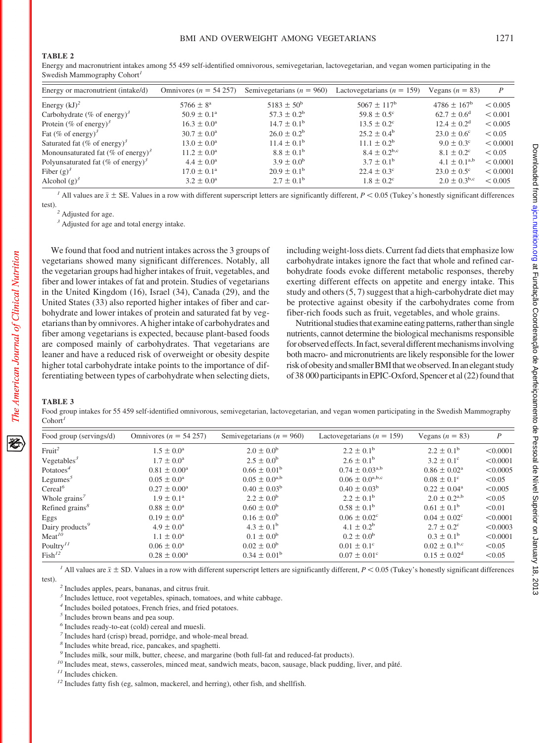#### **TABLE 2**

Energy and macronutrient intakes among 55 459 self-identified omnivorous, semivegetarian, lactovegetarian, and vegan women participating in the Swedish Mammography Cohort*<sup>1</sup>*

| Energy or macronutrient (intake/d)                | Omnivores ( $n = 54257$ ) | Semivegetarians ( $n = 960$ ) | Lactovegetarians ( $n = 159$ ) | Vegans $(n = 83)$      | P        |
|---------------------------------------------------|---------------------------|-------------------------------|--------------------------------|------------------------|----------|
| Energy $(kJ)^2$                                   | $5766 \pm 8^{\circ}$      | $5183 \pm 50^6$               | $5067 \pm 117^{\rm b}$         | $4786 \pm 167^{\rm b}$ | < 0.005  |
| Carbohydrate (% of energy) <sup>3</sup>           | $50.9 \pm 0.1^{\circ}$    | $57.3 \pm 0.2^b$              | $59.8 \pm 0.5^{\circ}$         | $62.7 \pm 0.6^{\rm d}$ | < 0.001  |
| Protein (% of energy) <sup>3</sup>                | $16.3 \pm 0.0^{\circ}$    | $14.7 \pm 0.1^{\rm b}$        | $13.5 \pm 0.2^{\circ}$         | $12.4 \pm 0.2^d$       | < 0.005  |
| Fat $(\%$ of energy) <sup>3</sup>                 | $30.7 \pm 0.0^{\circ}$    | $26.0 \pm 0.2^b$              | $25.2 \pm 0.4^{\rm b}$         | $23.0 \pm 0.6^{\circ}$ | < 0.05   |
| Saturated fat $(\%$ of energy) <sup>3</sup>       | $13.0 \pm 0.0^{\circ}$    | $11.4 \pm 0.1^{\circ}$        | $11.1 \pm 0.2^b$               | $9.0 \pm 0.3^{\circ}$  | < 0.0001 |
| Monounsaturated fat (% of energy) <sup>3</sup>    | $11.2 \pm 0.0^{\circ}$    | $8.8 \pm 0.1^{\rm b}$         | $8.4 \pm 0.2$ <sup>b,c</sup>   | $8.1 \pm 0.2^{\circ}$  | < 0.05   |
| Polyunsaturated fat $(\%$ of energy) <sup>3</sup> | $4.4 \pm 0.0^{\rm a}$     | $3.9 \pm 0.0^b$               | $3.7 \pm 0.1^{\rm b}$          | $4.1 \pm 0.1^{a,b}$    | < 0.0001 |
| Fiber $(g)^3$                                     | $17.0 \pm 0.1^{\circ}$    | $20.9 \pm 0.1^{\rm b}$        | $22.4 \pm 0.3^{\circ}$         | $23.0 \pm 0.5^{\circ}$ | < 0.0001 |
| Alcohol $(g)^3$                                   | $3.2 \pm 0.0^{\rm a}$     | $2.7 \pm 0.1^{\rm b}$         | $1.8 \pm 0.2^{\circ}$          | $2.0 \pm 0.3^{b,c}$    | < 0.005  |

<sup>*1*</sup> All values are  $\bar{x} \pm$  SE. Values in a row with different superscript letters are significantly different,  $P$  < 0.05 (Tukey's honestly significant differences test).

*<sup>2</sup>* Adjusted for age.

<sup>3</sup> Adjusted for age and total energy intake.

We found that food and nutrient intakes across the 3 groups of vegetarians showed many significant differences. Notably, all the vegetarian groups had higher intakes of fruit, vegetables, and fiber and lower intakes of fat and protein. Studies of vegetarians in the United Kingdom (16), Israel (34), Canada (29), and the United States (33) also reported higher intakes of fiber and carbohydrate and lower intakes of protein and saturated fat by vegetarians than by omnivores. A higher intake of carbohydrates and fiber among vegetarians is expected, because plant-based foods are composed mainly of carbohydrates. That vegetarians are leaner and have a reduced risk of overweight or obesity despite higher total carbohydrate intake points to the importance of differentiating between types of carbohydrate when selecting diets, including weight-loss diets. Current fad diets that emphasize low carbohydrate intakes ignore the fact that whole and refined carbohydrate foods evoke different metabolic responses, thereby exerting different effects on appetite and energy intake. This study and others (5, 7) suggest that a high-carbohydrate diet may be protective against obesity if the carbohydrates come from fiber-rich foods such as fruit, vegetables, and whole grains.

Nutritional studies that examine eating patterns, rather than single nutrients, cannot determine the biological mechanisms responsible for observed effects. In fact, several different mechanisms involving both macro- and micronutrients are likely responsible for the lower risk of obesity and smaller BMI that we observed. In an elegant study of 38 000 participants in EPIC-Oxford, Spencer et al (22) found that

## **TABLE 3**

The American Journal of Clinical Nutrition

Food group intakes for 55 459 self-identified omnivorous, semivegetarian, lactovegetarian, and vegan women participating in the Swedish Mammography Cohort*<sup>1</sup>*

| Food group (servings/d)          | Omnivores ( $n = 54257$ )  | Semivegetarians ( $n = 960$ ) | Lactovegetarians ( $n = 159$ ) | Vegans ( $n = 83$ )          | $\mathcal{P}$ |
|----------------------------------|----------------------------|-------------------------------|--------------------------------|------------------------------|---------------|
| $Fruit^2$                        | $1.5 \pm 0.0^{\rm a}$      | $2.0 \pm 0.0^{\rm b}$         | $2.2 \pm 0.1^{\rm b}$          | $2.2 \pm 0.1^{\rm b}$        | < 0.0001      |
| Vegetables <sup>3</sup>          | $1.7 \pm 0.0^{\rm a}$      | $2.5 \pm 0.0^{\rm b}$         | $2.6 \pm 0.1^{\rm b}$          | $3.2 \pm 0.1^{\circ}$        | < 0.0001      |
| Potatoes <sup>4</sup>            | $0.81 \pm 0.00^{\rm a}$    | $0.66 \pm 0.01^{\rm b}$       | $0.74 \pm 0.03^{\text{a,b}}$   | $0.86 \pm 0.02^{\text{a}}$   | < 0.0005      |
| Legumes $\overline{ }$           | $0.05 \pm 0.0^{\circ}$     | $0.05 \pm 0.0^{a,b}$          | $0.06 \pm 0.0^{a,b,c}$         | $0.08 \pm 0.1^{\circ}$       | < 0.05        |
| Cereal <sup><math>6</math></sup> | $0.27 \pm 0.00^{\rm a}$    | $0.40 \pm 0.03^{\rm b}$       | $0.40 \pm 0.03^{\rm b}$        | $0.22 \pm 0.04^{\circ}$      | < 0.005       |
| Whole grains <sup>7</sup>        | $1.9 \pm 0.1^{\rm a}$      | $2.2 \pm 0.0^{\rm b}$         | $2.2 \pm 0.1^{\rm b}$          | $2.0 \pm 0.2^{a,b}$          | < 0.05        |
| Refined grains <sup>8</sup>      | $0.88 \pm 0.0^{\rm a}$     | $0.60 \pm 0.0^{\rm b}$        | $0.58 \pm 0.1^{\rm b}$         | $0.61 \pm 0.1^{\rm b}$       | < 0.01        |
| Eggs                             | $0.19 \pm 0.0^a$           | $0.16 \pm 0.0^{\rm b}$        | $0.06 \pm 0.02$ <sup>c</sup>   | $0.04 \pm 0.02$ <sup>c</sup> | < 0.0001      |
| Dairy products <sup>9</sup>      | $4.9 \pm 0.0^{\rm a}$      | $4.3 \pm 0.1^{\rm b}$         | $4.1 \pm 0.2^b$                | $2.7 \pm 0.2^{\circ}$        | < 0.0003      |
| $Meat^{10}$                      | $1.1 \pm 0.0^{\rm a}$      | $0.1 \pm 0.0^{\rm b}$         | $0.2 \pm 0.0^{\rm b}$          | $0.3 \pm 0.1^{\rm b}$        | < 0.0001      |
| Poultry $^{11}$                  | $0.06 \pm 0.0^{\circ}$     | $0.02 \pm 0.0^{\rm b}$        | $0.01 \pm 0.1^{\circ}$         | $0.02 \pm 0.1^{b,c}$         | < 0.05        |
| $Fish^{12}$                      | $0.28 \pm 0.00^{\text{a}}$ | $0.34 \pm 0.01^{\rm b}$       | $0.07 \pm 0.01^{\circ}$        | $0.15 \pm 0.02^{\rm d}$      | < 0.05        |

<sup>*1*</sup> All values are  $\bar{x} \pm SD$ . Values in a row with different superscript letters are significantly different,  $P < 0.05$  (Tukey's honestly significant differences test).

*<sup>2</sup>* Includes apples, pears, bananas, and citrus fruit.

*<sup>3</sup>* Includes lettuce, root vegetables, spinach, tomatoes, and white cabbage.

- *<sup>4</sup>* Includes boiled potatoes, French fries, and fried potatoes.
- *<sup>5</sup>* Includes brown beans and pea soup.
- *<sup>6</sup>* Includes ready-to-eat (cold) cereal and muesli.
- *<sup>7</sup>* Includes hard (crisp) bread, porridge, and whole-meal bread.
- *<sup>8</sup>* Includes white bread, rice, pancakes, and spaghetti.
- *<sup>9</sup>* Includes milk, sour milk, butter, cheese, and margarine (both full-fat and reduced-fat products).
- <sup>10</sup> Includes meat, stews, casseroles, minced meat, sandwich meats, bacon, sausage, black pudding, liver, and pâté.
- *<sup>11</sup>* Includes chicken.

*<sup>12</sup>* Includes fatty fish (eg, salmon, mackerel, and herring), other fish, and shellfish.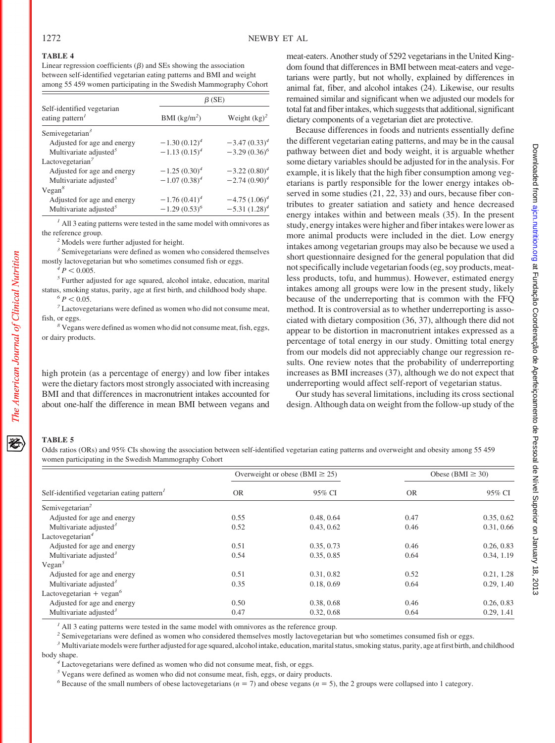#### **TABLE 4**

Linear regression coefficients  $(\beta)$  and SEs showing the association between self-identified vegetarian eating patterns and BMI and weight among 55 459 women participating in the Swedish Mammography Cohort

|                                                           | $\beta$ (SE)      |                 |  |
|-----------------------------------------------------------|-------------------|-----------------|--|
| Self-identified vegetarian<br>eating pattern <sup>1</sup> | BMI $(kg/m2)$     | Weight $(kg)^2$ |  |
| Semivegetarian <sup>3</sup>                               |                   |                 |  |
| Adjusted for age and energy                               | $-1.30(0.12)^4$   | $-3.47(0.33)^4$ |  |
| Multivariate adjusted <sup>5</sup>                        | $-1.13(0.15)^4$   | $-3.29(0.36)^6$ |  |
| Lactovegetarian <sup>7</sup>                              |                   |                 |  |
| Adjusted for age and energy                               | $-1.25(0.30)^4$   | $-3.22(0.80)^4$ |  |
| Multivariate adjusted <sup>5</sup>                        | $-1.07(0.38)^4$   | $-2.74(0.90)^4$ |  |
| $Vegan^8$                                                 |                   |                 |  |
| Adjusted for age and energy                               | $-1.76(0.41)^4$   | $-4.75(1.06)^4$ |  |
| Multivariate adjusted <sup>5</sup>                        | $-1.29(0.53)^{6}$ | $-5.31(1.28)^4$ |  |

<sup>1</sup> All 3 eating patterns were tested in the same model with omnivores as the reference group.

*<sup>2</sup>* Models were further adjusted for height.

*<sup>3</sup>* Semivegetarians were defined as women who considered themselves mostly lactovegetarian but who sometimes consumed fish or eggs.

 $^{4}P < 0.005$ . *<sup>5</sup>* Further adjusted for age squared, alcohol intake, education, marital status, smoking status, parity, age at first birth, and childhood body shape.

 $^{6}P< 0.05$ .

*<sup>7</sup>* Lactovegetarians were defined as women who did not consume meat,

fish, or eggs.

*<sup>8</sup>* Vegans were defined as women who did not consume meat, fish, eggs, or dairy products.

high protein (as a percentage of energy) and low fiber intakes were the dietary factors most strongly associated with increasing BMI and that differences in macronutrient intakes accounted for about one-half the difference in mean BMI between vegans and meat-eaters. Another study of 5292 vegetarians in the United Kingdom found that differences in BMI between meat-eaters and vegetarians were partly, but not wholly, explained by differences in animal fat, fiber, and alcohol intakes (24). Likewise, our results remained similar and significant when we adjusted our models for total fat and fiber intakes, which suggests that additional, significant dietary components of a vegetarian diet are protective.

Because differences in foods and nutrients essentially define the different vegetarian eating patterns, and may be in the causal pathway between diet and body weight, it is arguable whether some dietary variables should be adjusted for in the analysis. For example, it is likely that the high fiber consumption among vegetarians is partly responsible for the lower energy intakes observed in some studies (21, 22, 33) and ours, because fiber contributes to greater satiation and satiety and hence decreased energy intakes within and between meals (35). In the present study, energy intakes were higher and fiber intakes were lower as more animal products were included in the diet. Low energy intakes among vegetarian groups may also be because we used a short questionnaire designed for the general population that did not specifically include vegetarian foods (eg, soy products, meatless products, tofu, and hummus). However, estimated energy intakes among all groups were low in the present study, likely because of the underreporting that is common with the FFQ method. It is controversial as to whether underreporting is associated with dietary composition (36, 37), although there did not appear to be distortion in macronutrient intakes expressed as a percentage of total energy in our study. Omitting total energy from our models did not appreciably change our regression results. One review notes that the probability of underreporting increases as BMI increases (37), although we do not expect that underreporting would affect self-report of vegetarian status.

Our study has several limitations, including its cross sectional design. Although data on weight from the follow-up study of the

#### **TABLE 5**

The American Journal of Clinical Nutrition

Odds ratios (ORs) and 95% CIs showing the association between self-identified vegetarian eating patterns and overweight and obesity among 55 459 women participating in the Swedish Mammography Cohort

|                                                        | Overweight or obese (BMI $\geq$ 25) |            | Obese (BMI $\geq$ 30) |            |
|--------------------------------------------------------|-------------------------------------|------------|-----------------------|------------|
| Self-identified vegetarian eating pattern <sup>1</sup> | <b>OR</b>                           | 95% CI     | <b>OR</b>             | 95% CI     |
| Semivegetarian <sup>2</sup>                            |                                     |            |                       |            |
| Adjusted for age and energy                            | 0.55                                | 0.48, 0.64 | 0.47                  | 0.35, 0.62 |
| Multivariate adjusted <sup>3</sup>                     | 0.52                                | 0.43, 0.62 | 0.46                  | 0.31, 0.66 |
| Lactovegetarian <sup>4</sup>                           |                                     |            |                       |            |
| Adjusted for age and energy                            | 0.51                                | 0.35, 0.73 | 0.46                  | 0.26, 0.83 |
| Multivariate adjusted <sup>3</sup>                     | 0.54                                | 0.35, 0.85 | 0.64                  | 0.34, 1.19 |
| $Vegan^5$                                              |                                     |            |                       |            |
| Adjusted for age and energy                            | 0.51                                | 0.31, 0.82 | 0.52                  | 0.21, 1.28 |
| Multivariate adjusted <sup>3</sup>                     | 0.35                                | 0.18, 0.69 | 0.64                  | 0.29, 1.40 |
| Lactovegetarian + $vegan^6$                            |                                     |            |                       |            |
| Adjusted for age and energy                            | 0.50                                | 0.38, 0.68 | 0.46                  | 0.26, 0.83 |
| Multivariate adjusted <sup>3</sup>                     | 0.47                                | 0.32, 0.68 | 0.64                  | 0.29, 1.41 |

<sup>1</sup> All 3 eating patterns were tested in the same model with omnivores as the reference group.

*<sup>2</sup>* Semivegetarians were defined as women who considered themselves mostly lactovegetarian but who sometimes consumed fish or eggs.

*<sup>3</sup>* Multivariate models were further adjusted for age squared, alcoholintake, education, marital status, smoking status, parity, age at first birth, and childhood body shape.

*<sup>4</sup>* Lactovegetarians were defined as women who did not consume meat, fish, or eggs.

<sup>5</sup> Vegans were defined as women who did not consume meat, fish, eggs, or dairy products.

<sup>6</sup> Because of the small numbers of obese lactovegetarians  $(n = 7)$  and obese vegans  $(n = 5)$ , the 2 groups were collapsed into 1 category.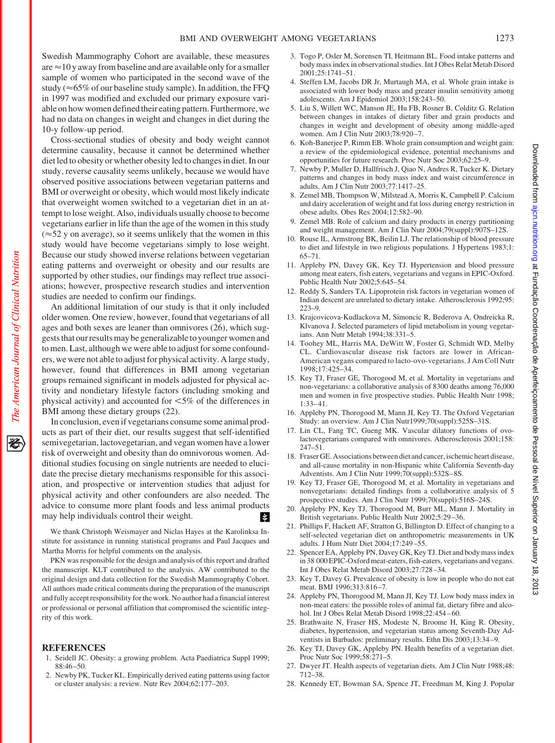Swedish Mammography Cohort are available, these measures are  $\approx$  10 y away from baseline and are available only for a smaller sample of women who participated in the second wave of the study ( $\approx 65\%$  of our baseline study sample). In addition, the FFQ in 1997 was modified and excluded our primary exposure variable on how women defined their eating pattern. Furthermore, we had no data on changes in weight and changes in diet during the 10-y follow-up period.

Cross-sectional studies of obesity and body weight cannot determine causality, because it cannot be determined whether diet led to obesity or whether obesity led to changes in diet. In our study, reverse causality seems unlikely, because we would have observed positive associations between vegetarian patterns and BMI or overweight or obesity, which would most likely indicate that overweight women switched to a vegetarian diet in an attempt to lose weight. Also, individuals usually choose to become vegetarians earlier in life than the age of the women in this study  $(\approx 52 \text{ y on average})$ , so it seems unlikely that the women in this study would have become vegetarians simply to lose weight. Because our study showed inverse relations between vegetarian eating patterns and overweight or obesity and our results are supported by other studies, our findings may reflect true associations; however, prospective research studies and intervention studies are needed to confirm our findings.

An additional limitation of our study is that it only included older women. One review, however, found that vegetarians of all ages and both sexes are leaner than omnivores (26), which suggests that our results may be generalizable to younger women and to men. Last, although we were able to adjust for some confounders, we were not able to adjust for physical activity. A large study, however, found that differences in BMI among vegetarian groups remained significant in models adjusted for physical activity and nondietary lifestyle factors (including smoking and physical activity) and accounted for  $\leq 5\%$  of the differences in BMI among these dietary groups (22).

In conclusion, even if vegetarians consume some animal products as part of their diet, our results suggest that self-identified semivegetarian, lactovegetarian, and vegan women have a lower risk of overweight and obesity than do omnivorous women. Additional studies focusing on single nutrients are needed to elucidate the precise dietary mechanisms responsible for this association, and prospective or intervention studies that adjust for physical activity and other confounders are also needed. The advice to consume more plant foods and less animal products may help individuals control their weight. И

We thank Christoph Weismayer and Niclas Hayes at the Karolinksa Institute for assistance in running statistical programs and Paul Jacques and Martha Morris for helpful comments on the analysis.

PKN was responsible for the design and analysis of this report and drafted the manuscript. KLT contributed to the analysis. AW contributed to the original design and data collection for the Swedish Mammography Cohort. All authors made critical comments during the preparation of the manuscript and fully accept responsibility for the work. No author had a financial interest or professional or personal affiliation that compromised the scientific integrity of this work.

#### **REFERENCES**

The American Journal of Clinical Nutrition

衫

- 1. Seidell JC. Obesity: a growing problem. Acta Paediatrica Suppl 1999; 88:46 –50.
- 2. Newby PK, Tucker KL. Empirically derived eating patterns using factor or cluster analysis: a review. Nutr Rev 2004;62:177–203.
- 3. Togo P, Osler M, Sorensen TI, Heitmann BL. Food intake patterns and body mass index in observational studies. Int J Obes Relat Metab Disord 2001;25:1741–51.
- 4. Steffen LM, Jacobs DR Jr, Murtaugh MA, et al. Whole grain intake is associated with lower body mass and greater insulin sensitivity among adolescents. Am J Epidemiol 2003;158:243–50.
- 5. Liu S, Willett WC, Manson JE, Hu FB, Rosner B, Colditz G. Relation between changes in intakes of dietary fiber and grain products and changes in weight and development of obesity among middle-aged women. Am J Clin Nutr 2003;78:920 –7.
- 6. Koh-Banerjee P, Rimm EB. Whole grain consumption and weight gain: a review of the epidemiological evidence, potential mechanisms and opportunities for future research. Proc Nutr Soc 2003;62:25–9.
- 7. Newby P, Muller D, Hallfrisch J, Qiao N, Andres R, Tucker K. Dietary patterns and changes in body mass index and waist circumference in adults. Am J Clin Nutr 2003;77:1417–25.
- 8. Zemel MB, Thompson W, Milstead A, Morris K, Campbell P. Calcium and dairy acceleration of weight and fat loss during energy restriction in obese adults. Obes Res 2004;12:582–90.
- 9. Zemel MB. Role of calcium and dairy products in energy partitioning and weight management. Am J Clin Nutr 2004;79(suppl):907S–12S.
- 10. Rouse IL, Armstrong BK, Beilin LJ. The relationship of blood pressure to diet and lifestyle in two religious populations. J Hypertens 1983;1: 65–71.
- 11. Appleby PN, Davey GK, Key TJ. Hypertension and blood pressure among meat eaters, fish eaters, vegetarians and vegans in EPIC-Oxford. Public Health Nutr 2002;5:645–54.
- 12. Reddy S, Sanders TA. Lipoprotein risk factors in vegetarian women of Indian descent are unrelated to dietary intake. Atherosclerosis 1992;95: 223–9.
- 13. Krajcovicova-Kudlackova M, Simoncic R, Bederova A, Ondreicka R, Klvanova J. Selected parameters of lipid metabolism in young vegetarians. Ann Nutr Metab 1994;38:331–5.
- 14. Toohey ML, Harris MA, DeWitt W, Foster G, Schmidt WD, Melby CL. Cardiovascular disease risk factors are lower in African-American vegans compared to lacto-ovo-vegetarians. J Am Coll Nutr 1998;17:425–34.
- 15. Key TJ, Fraser GE, Thorogood M, et al. Mortality in vegetarians and non-vegetarians: a collaborative analysis of 8300 deaths among 76,000 men and women in five prospective studies. Public Health Nutr 1998;  $1:33-41.$
- 16. Appleby PN, Thorogood M, Mann JI, Key TJ. The Oxford Vegetarian Study: an overview. Am J Clin Nutr1999;70(suppl):525S–31S.
- 17. Lin CL, Fang TC, Gueng MK. Vascular dilatory functions of ovolactovegetarians compared with omnivores. Atherosclerosis 2001;158: 247–51.
- 18. Fraser GE. Associations between diet and cancer, ischemic heart disease, and all-cause mortality in non-Hispanic white California Seventh-day Adventists. Am J Clin Nutr 1999;70(suppl):532S– 8S.
- 19. Key TJ, Fraser GE, Thorogood M, et al. Mortality in vegetarians and nonvegetarians: detailed findings from a collaborative analysis of 5 prospective studies. Am J Clin Nutr 1999;70(suppl):516S–24S.
- 20. Appleby PN, Key TJ, Thorogood M, Burr ML, Mann J. Mortality in British vegetarians. Public Health Nutr 2002;5:29 –36.
- 21. Phillips F, Hackett AF, Stratton G, Billington D. Effect of changing to a self-selected vegetarian diet on anthropometric measurements in UK adults. J Hum Nutr Diet 2004;17:249 –55.
- 22. Spencer EA, Appleby PN, Davey GK, Key TJ. Diet and body mass index in 38 000 EPIC-Oxford meat-eaters, fish-eaters, vegetarians and vegans. Int J Obes Relat Metab Disord 2003;27:728 –34.
- 23. Key T, Davey G. Prevalence of obesity is low in people who do not eat meat. BMJ 1996;313:816-7.
- 24. Appleby PN, Thorogood M, Mann JI, Key TJ. Low body mass index in non-meat eaters: the possible roles of animal fat, dietary fibre and alcohol. Int J Obes Relat Metab Disord 1998;22:454-60.
- 25. Brathwaite N, Fraser HS, Modeste N, Broome H, King R. Obesity, diabetes, hypertension, and vegetarian status among Seventh-Day Adventists in Barbados: preliminary results. Ethn Dis 2003;13:34 –9.
- 26. Key TJ, Davey GK, Appleby PN. Health benefits of a vegetarian diet. Proc Nutr Soc 1999;58:271–5.
- 27. Dwyer JT. Health aspects of vegetarian diets. Am J Clin Nutr 1988;48: 712–38.
- 28. Kennedy ET, Bowman SA, Spence JT, Freedman M, King J. Popular